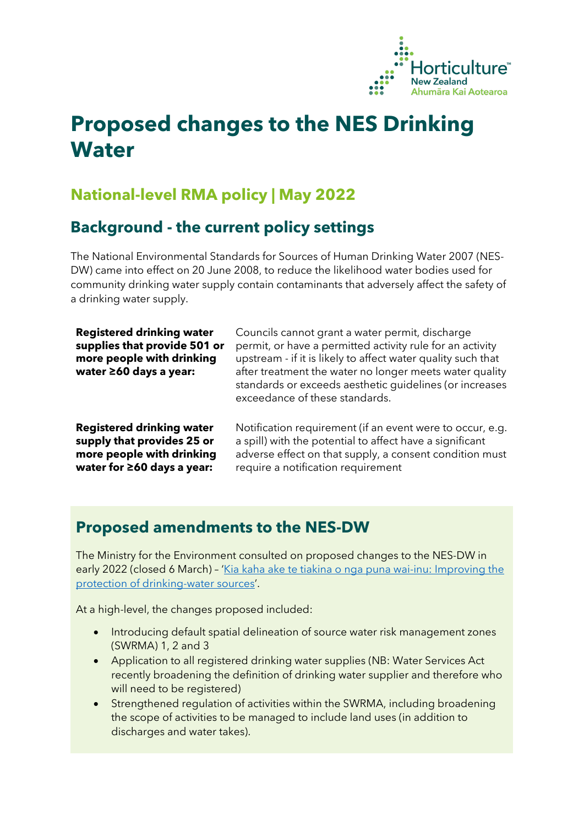

# **Proposed changes to the NES Drinking Water**

## **National-level RMA policy | May 2022**

#### **Background - the current policy settings**

The National Environmental Standards for Sources of Human Drinking Water 2007 (NES-DW) came into effect on 20 June 2008, to reduce the likelihood water bodies used for community drinking water supply contain contaminants that adversely affect the safety of a drinking water supply.

| <b>Registered drinking water</b><br>supplies that provide 501 or<br>more people with drinking<br>water ≥60 days a year: | Councils cannot grant a water permit, discharge<br>permit, or have a permitted activity rule for an activity<br>upstream - if it is likely to affect water quality such that<br>after treatment the water no longer meets water quality<br>standards or exceeds aesthetic quidelines (or increases<br>exceedance of these standards. |
|-------------------------------------------------------------------------------------------------------------------------|--------------------------------------------------------------------------------------------------------------------------------------------------------------------------------------------------------------------------------------------------------------------------------------------------------------------------------------|
| <b>Registered drinking water</b>                                                                                        | Notification requirement (if an event were to occur, e.g.                                                                                                                                                                                                                                                                            |
| supply that provides 25 or                                                                                              | a spill) with the potential to affect have a significant                                                                                                                                                                                                                                                                             |
| more people with drinking                                                                                               | adverse effect on that supply, a consent condition must                                                                                                                                                                                                                                                                              |
| water for $\geq 60$ days a year:                                                                                        | require a notification requirement                                                                                                                                                                                                                                                                                                   |

#### **Proposed amendments to the NES-DW**

The Ministry for the Environment consulted on proposed changes to the NES-DW in early 2022 (closed 6 March) - 'Kia kaha ake te tiakina o nga puna wai-inu: Improving the [protection of drinking-water sources'](https://environment.govt.nz/assets/publications/nes-dw-consultation-document.pdf).

At a high-level, the changes proposed included:

- Introducing default spatial delineation of source water risk management zones (SWRMA) 1, 2 and 3
- Application to all registered drinking water supplies (NB: Water Services Act recently broadening the definition of drinking water supplier and therefore who will need to be registered)
- Strengthened regulation of activities within the SWRMA, including broadening the scope of activities to be managed to include land uses (in addition to discharges and water takes).